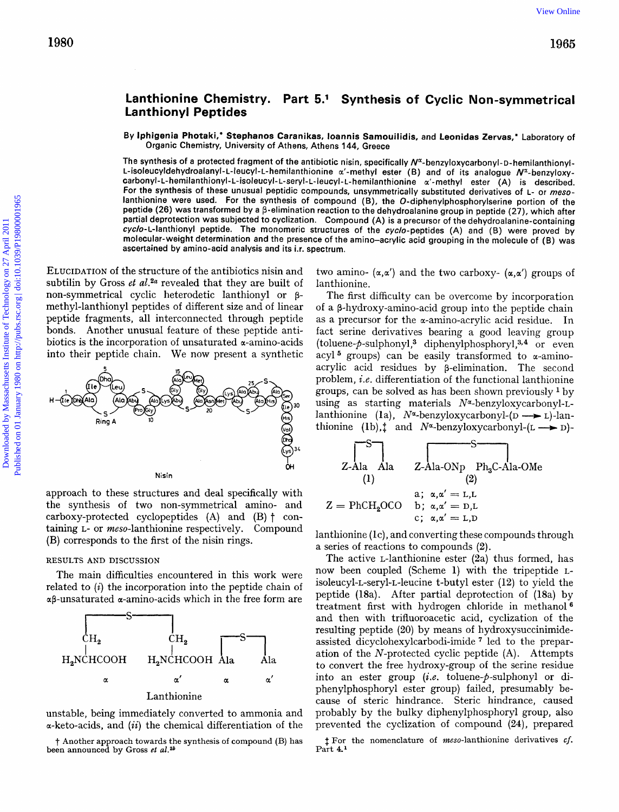# **Lanthionine Chemistry. Part 5.' Synthesis of Cyclic Non-symmetrical Lanthionyl Peptides**

By lphigenia Photaki," Stephanos Caranikas, loannis Samouilidis, and Leonidas Zervas," Laboratory of Organic Chemistry, University of Athens, Athens 144, Greece

The synthesis of a protected fragment of the antibiotic nisin, specifically N<sup>x</sup>-benzyloxycarbonyl-D-hemilanthionyl-L-isoleucyldehydroalanyl-L-leucyl-L-hemilanthionine  $\alpha'$ -methyl ester (B) and of its analogue N<sup>x</sup>-benzyloxycarbonyl-L- hemilanthionyl-L- isoleucyl- L-seryl- L-leucyl- **L-** hemilanthionine *a'-* methyl ester (A) is described. For the synthesis of these unusual peptidic compounds, unsymmetrically substituted derivatives of **L-** or *meso*lanthionine were used. For the synthesis of compound **(B),** the **O-diphenylphosphorylserine** portion of the peptide (26) was transformed by a  $\beta$ -elimination reaction to the dehydroalanine group in peptide (27), which after partial deprotection was subjected to cyclization. Compound (A) is a precursor of the dehydroalanine-containing cyclo-L-lanthionyl peptide. The monomeric structures of the cyclo-peptides (A) and (B) were proved by molecular-weight determination and the presence of the amino-acrylic acid grouping in the molecule of (B) was ascertained by amino-acid analysis and its i.r. spectrum. 1980<br>
1985<br>
Lanthinonyl Peptides<br>
By heligenia Photati, Stephano Granika, issemis Samoulidis, and Leonida Zavas, 'Lehoratov of<br>
Due perhease of monomediating Advantage Advance of Monomediating Advance of the Constrainers<br>

ELUCIDATION of the structure of the antibiotics nisin and subtilin by Gross *et al.*<sup>2*a*</sup> revealed that they are built of non-symmetrical cyclic heterodetic lanthionyl or **p**methyl-lanthionyl peptides of different size and of linear peptide fragments, all interconnected through peptide bonds. Another unusual feature of these peptide antibiotics is the incorporation of unsaturated  $\alpha$ -amino-acids into their peptide chain. We now present a synthetic



approach to these structures and deal specifically with the synthesis of two non-symmetrical amino- and carboxy-protected cyclopeptides  $(A)$  and  $(B)$   $\dagger$  containing L- or *meso*-lanthionine respectively. Compound (B) corresponds to the first of the nisin rings.

The main difficulties encountered in this work were related to *(i)* the incorporation into the peptide chain of  $\alpha\beta$ -unsaturated  $\alpha$ -amino-acids which in the free form are



unstable, being immediately converted to ammonia and a-keto-acids, and *(ii)* the chemical differentiation of the

t Another approach towards the synthesis of compound (B) has been announced by Gross *et al.*<sup>26</sup>

two amino-  $(\alpha, \alpha')$  and the two carboxy-  $(\alpha, \alpha')$  groups of lanthionine.

The first difficulty can be overcome by incorporation of a p-hydroxy-amino-acid group into the peptide chain as a precursor for the a-amino-acrylic acid residue. In fact serine derivatives bearing a good leaving group (toluene- $p$ -sulphonyl,<sup>3</sup> diphenylphosphoryl,<sup>3,4</sup> or even acyl<sup>5</sup> groups) can be easily transformed to  $\alpha$ -aminoacrylic acid residues by p-elimination. The second problem, *i.e.* differentiation of the functional lanthionine groups, can be solved as has been shown previously  $\frac{1}{v}$  by using as starting materials  $N^{\alpha}$ -benzyloxycarbonyl-Lgroups, can be solved as has been shown previously <sup>1</sup> by<br>using as starting materials  $N^{\alpha}$ -benzyloxycarbonyl-L-<br>lanthionine (la),  $N^{\alpha}$ -benzyloxycarbonyl-(D --> L)-lanusing as starting materials  $N^{\alpha}$ -benzyloxycarbonyl-L-<br>lanthionine (la),  $N^{\alpha}$ -benzyloxycarbonyl-(D --> L)-lan-<br>thionine (lb), $\ddagger$  and  $N^{\alpha}$ -benzyloxycarbonyl-(L --> D)thionine (1b),  $\ddagger$  and  $N^*$ -benzyloxycarbonyl- $(L \rightarrow D)$ -

$$
Z-Ala
$$
 Ala  $z-Ala-ONp$  Ph<sub>3</sub>C-Ala-OMe  
\n(1)  
\n
$$
Z = PhCH2OCO
$$
 b;  $\alpha, \alpha' = D,L$   
\nc;  $\alpha, \alpha' = L,D$ 

 $l$ anthionine (lc), and converting these compounds through a series of reactions to compounds (2).

RESULTS AND DISCUSSION The active L-lanthionine ester (2a) thus formed, has now been coupled (Scheme 1) with the tripeptide Lisoleucyl-L-seryl-L-leucine t-butyl ester (12) to yield the peptide (18a). After partial deprotection of (18a) treatment first with hydrogen chloride in methanol  ${}^6$ <br>
S
CH<sub>2</sub> CH<sub>2</sub>  ${}^5$  and then with trifluoroacetic acid, cyclization of the<br>
cH<sub>2</sub>  ${}^5$  assisted dicyclohexylcarbodi-imide <sup>7</sup> led to the prepar-<br>
ation of the *N* and then with trifluoroacetic acid, cyclization of the resulting peptide (20) by means of hydroxysuccinimide- $H_2NCHCOOH$   $H_2NCHCOOH$   $Ala$  ation of the N-protected cyclic peptide (A). Attempts to convert the free hydroxy-group of the serine residue a a' a a' into an ester group *(i.e.* toluene-p-sulphonyl or di-<br>phenylphosphoryl ester group) failed, presumably because of steric hindrance. Steric hindrance, caused probably by the bulky diphenylphosphoryl group, also prevented the cyclization of compound **(24),** prepared

> $t$  For the nomenclature of *meso*-lanthionine derivatives *cf*. Part **4.l**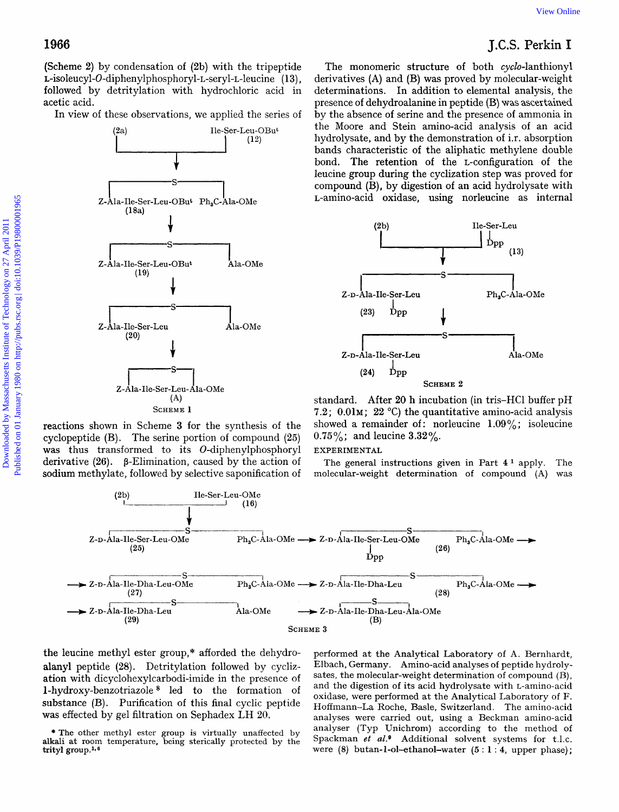(Scheme **2)** by condensation of **(2b)** with the tripeptide **L-isoleucyl-O-diphenylphosphoryl-L-seryl-L-leucine** ( **13)** , followed by detritylation with hydrochloric acid in acetic acid.

In view of these observations, we applied the series of



reactions shown in Scheme **3** for the synthesis of the cyclopeptide (B). The serine portion of compound **(25)**  was thus transformed to its O-diphenylphosphoryl derivative  $(26)$ .  $\beta$ -Elimination, caused by the action of sodium methylate, followed by selective saponification of

**1966** J.C.S. Perkin **I**  The monomeric structure of both cyclo-lanthionyl derivatives **(A)** and (B) was proved by molecular-weight determinations. In addition to elemental analysis, the presence of dehydroalanine in peptide (B) was ascertained by the absence of serine and the presence of ammonia in the Moore and Stein amino-acid analysis of an acid hydrolysate, and by the demonstration of i.r. absorption bands characteristic of the aliphatic methylene double bond. The retention of the L-configuration of the leucine group during the cyclization step was proved for compound (B), by digestion of an acid hydrolysate with L-amino-acid oxidase, using norleucine as internal View Online<br>
J.C.S. Perkin I<br>
re of both cyclo-lanthionyl<br>
proved by molecular-weight<br>
n to elemental analy[s](http://dx.doi.org/10.1039/p19800001965)is, the<br>
n peptide (B) was assertained<br>
it the presence of ammonia in<br>
no-acid analysis of an acid<br>
mostration of



standard. After **20** h incubation (in tris-HC1 buffer pH **7.2; 0.01** $\times$ ; **22** °C) the quantitative amino-acid analysis showed a remainder of: norleucine  $1.09\%$ ; isoleucine **0.75%;** and leucine **3.32%.** 

## **EXPERIMENTAL**

The general instructions given in Part  $4^1$  apply. The molecular-weight determination of compound **(A)** was



the leucine methyl ester group,\* afforded the dehydro- performed at the Analytical Laboratory of **A.** Bernhardt, substance (B). Purification of this final cyclic peptide

alanyl peptide (28). Detritylation followed by cycliz- Elbach, Germany. Amino-acid analyses of peptide hydrolyation with dicyclohexylcarbodi-imide in the presence of sates, the molecular-weight determination of compound (B),<br>1-hydroxy-benzotriazole <sup>8</sup> led to the formation of and the digestion of its acid hydrolysate with L-aminooxidase, were performed at the Analytical Laboratory of F. was effected by gel filtration on Sephadex LH 20. **analyses were carried out, using a Beckman amino-acid** alkali at room temperature, being sterically protected by the Spackman *et al.*<sup>9</sup> Additional solvent systems for t.l.c. trityl group.l\*e were **(8) butan-l-ol-ethanol-water** *(5* : **1** : **4,** upper phase); sates, the molecular-weight determination of compound (B), \* The other methyl ester group is virtually unaffected by analyser (Typ Unichrom) according to the method of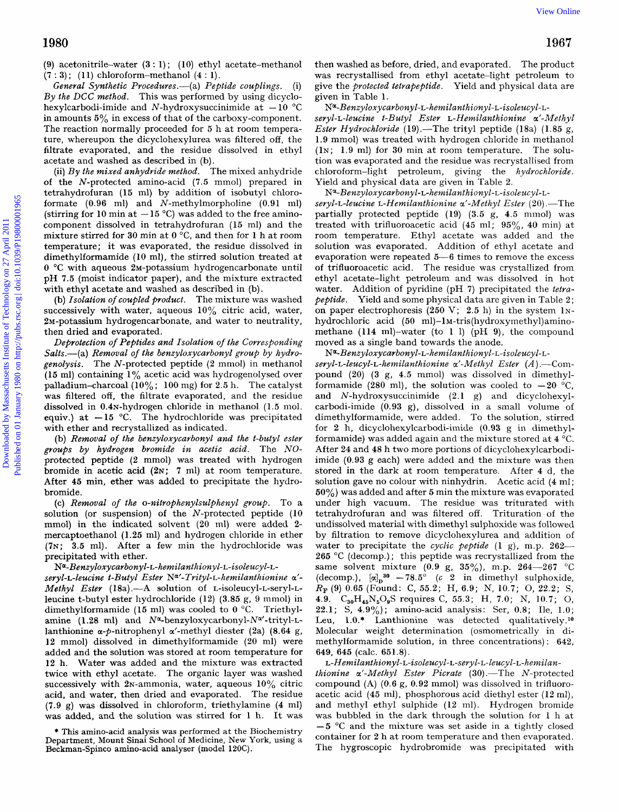**(9)** acetonitrile-water **(3** : **1)** ; (10) ethyl acetate-methanol **(7 3)** ; (1 **1)** chloroform-methanol **(4** : 1).

General Synthetic Procedures.—(a) Peptide couplings. (i) *By the DCC method.* This was performed by using dicyclo-<br>hexylcarbodi-imide and N-hydroxysuccinimide at  $-10$  °C in amounts *5%* in excess of that of the carboxy-component. The reaction normally proceeded for 5 h at room temperature, whereupon the dicyclohexylurea was filtered off, the filtrate evaporated, and the residue dissolved in ethyl acetate and washed as described in (b).

(ii) By *the mixed anhydride method.* The mixed anhydride of the N-protected amino-acid **(7.5** mmol) prepared in tetrahydrofuran (15 ml) by addition of isobutyl chloroformate  $(0.96 \text{ ml})$  and N-methylmorpholine  $(0.91 \text{ ml})$ <br>(stirring for 10 min at  $-15^{\circ}$ C) was added to the free aminocomponent dissolved in tetrahydrofuran **(15** ml) and the mixture stirred for **30** rnin at **0** "C, and then for **1** h at room temperature; it was evaporated, the residue dissolved in dimethylformamide (10 ml), the stirred solution treated at **0 "C** with aqueous 2w-potassium hydrogencarbonate until pH **7.5** (moist indicator paper), and the mixture extracted with ethyl acetate and washed as described in (b).

(b) *Isolation of coupled product.* The mixture was washed successively with water, aqueous  $10\%$  citric acid, water, 2M-potassium hydrogencarbonate, and water to neutrality, then dried and evaporated.

*Deprotection of Peptides and Isolation of the Corresponding*  Salts.—(a) Removal of the benzyloxycarbonyl group by hydro*genolysis.* The N-protected peptide (2 mmol) in methanol **(15** ml) containing **1%** acetic acid was hydrogenolysed over palladium-charcoal (10% ; **100** mg) for **2.5** h. The catalyst was filtered off, the filtrate evaporated, and the residue dissolved in 0.4N-hydrogen chloride in methanol (1.5 mol. equiv.) at  $-15$  °C. The hydrochloride was precipitated with ether and recrystallized as indicated.

(b) *Removal of the benzyloxycarbonyl and the t-butyl ester*  groups *by hydrogen bromide in acetic acid.* The *NO*protected peptide (2 mmol) was treated with hydrogen bromide in acetic **acid (2N; 7** nil) at room temperature. After **45** min, ether was added to precipitate the hydrobromide.

(c) *Removal of the o-nitrophenylsulphenyl group*. To a solution (or suspension) of the N-protected peptide **(10**  mmol) in the indicated solvent **(20** ml) were added **2**  mercaptoethanol (1.25 ml) and hydrogen chloride in ether **(7~; 3.5** ml). After a few rnin the hydrochloride was precipitated with ether.

#### *NQ-Benzyloxycarbonyl-L- hemilanthionyl-L-isoleucyl-L-*

*seryl-L-leucine t-Butyl Ester Na'-Trityl-L-hemilanthionine a'- Methyl Ester* (18a) .- A solution of L-isoleucyl-L-seryl-Lleucine t-butyl ester hydrochloride **(12) (3.85** g, 9 mmol) in dimethylformamide **(15** ml) was cooled to **0** "C. Triethylamine (1.28 ml) and N<sup>a</sup>-benzyloxycarbonyl-N<sup>a</sup>'-trityl-Llanthionine a-P-nitrophenyl a'-methyl diester (2a) **(8.64** g, 12 mmol) dissolved in dimethylformamide (20 ml) were added and the solution was stored at room temperature for 12 h. Water was added and the mixture was extracted twice with ethyl acetate. The organic layer was washed successively with  $2N$ -ammonia, water, aqueous  $10\%$  citric acid, and water, then dried and evaporated. The residue **(7.9** g) was dissolved in chloroform, triethylamine **(4** ml) was added, and the solution was stirred for 1 h. It was then washed as before, dried, and evaporated. The product was recrystallised from ethyl acetate-light petroleum to give the *protected tetrapeptide.* Yield and physical data are given in Table **1.** 

*seryl-L-leucine t-Butyl Ester L-Hemilanthionine a'-Methyl Ester Hydrochloride* ( **19)** .-The trityl peptide **(1** 8a) ( **1.85** g, **1.9** mmol) was treated with hydrogen chloride in methanol (1~; **1.9** ml) for **30** min at room temperature. The solution was evaporated and the residue was recrystallised from chloroform-light petroleum, giving the *hydrochloride.*  Yield and physical data are given in Table **2.**  *P-Benzyloxycarbonyl-L-* hemilanthionyl-L-isoleucy l-L-

*seryl-L-leucine L-Hemilanthionine a'-Methyl Ester* **(20)** .-The partially protected peptide **(19) (3.5** g, **4.5** mmol) was treated with trifluoroacetic acid **(45** ml; **95%, 40** min) at room temperature. Ethyl acetate was added and the solution was evaporated. Addition of ethyl acetate and evaporation were repeated **5-6** times to remove the excess of trifluoroacetic acid. The residue was crystallized from ethyl acetate-light petroleum and was dissolved in hot water. Addition of pyridine (pH **7)** precipitated the *tetrapeptide.* Yield and some physical data are given in Table **2** ; on paper electrophoresis (250 V; **2.5** h) in the system **1~**  hydrochloric acid **(50 m1)-lM-tris(hydroxymethy1)amino**methane **(114** m1)-water (to 1 1) (pH **9),** the compound moved as a single band towards the anode.  $N^{\alpha}$ -Benzyloxycarbonyl-L-hemilanthionyl-L-isoleucyl-L-1980<br>
1980 on activite on the institute of Technology on the methods of the methods in the control of the state of Technology on the control of the state of Technology on the state of Technology on the state of Technology

 $N^{\alpha}$ -Benzyloxycarbonyl-L-hemilanthionyl-L-isoleucyl-L-

*seryl-L-leucyl-L-heiilanthionine a'-Methyl Ester (A)* .-Compound (20) **(3** g, **4.5** mmol) was dissolved in dimethylformamide (280 ml), the solution was cooled to  $-20$  °C, and N-hydroxysuccinimide **(2.1** *g)* and dicyclohexylcarbodi-imide **(0.93** g), dissolved in a small volume of dimethylformamide, were added. To the solution, stirred for 2 h, dicyclohexylcarbodi-imide **(0.93** *g* in dimethylformamide) was added again and the mixture stored at **4** "C. After **24** and 48 h two more portions of dicyclohexylcarbodiimide **(0.93** g each) were added and the mixture was then stored in the dark at room temperature. After **4** d, the solution gave no colour with ninhydrin. Acetic acid **(4** ml; **50%)** was added and after *5* rnin the mixture was evaporated under high vacuum. The residue was triturated with tetrahydrofuran and was filtered off. Trituration of the undissolved material with dimethyl sulphoxide was followed by filtration to remove dicyclohexylurea and addition of water to precipitate the *cyclic peptide* (1 g), m.p. **262- <sup>265</sup>**"C (decomp.) ; this peptide was recrystallized from the same solvent mixture **(0.9** g, **35%),** m.p. **264-267** "C (decomp.),  $[\alpha]_p^{30}$  -78.5<sup>°</sup> (c <sup>2</sup> in dimethyl sulphoxide, *RF* **(9)** 0.65 (Found: C, **55.2;** H, **6.9;** N, **10.7;** 0, 22.2; S, **4.9. C30H,5N50,S** requires C, **55.3;** H, **7.0;** N, **10.7;** 0, 22.1; S, **4.90/,);** amino-acid analysis: Ser, **0.8;** Ile, **1.0;**  Leu, 1.0.\* Lanthionine was detected qualitatively.<sup>10</sup> Molecular weight determination (osmometrically in dimethylformamide solution, in three concentrations) : **642, 649, 645** (calc. **651.8).** 

# L-Hemilanthionyl-L-isoleucyl-L-seryl-L-leucyl-L-hemilan-

*thionine a'-Methyl Ester Picrate* **(30)** .-The N-protected compound **(A) (0.6** *g,* **0.92** mmol) was dissolved in trifluoroacetic acid **(45** ml), phosphorous acid diethyl ester **(12** ml), and methyl ethyl sulphide **(12** ml). Hydrogen bromide was bubbled in the dark through the solution for 1 h at  $-5$  °C and the mixture was set aside in a tightly closed container for 2 h at room temperature and then evaporated. The hygroscopic hydrobromide was precipitated with

<sup>\*</sup> This amino-acid analysis was performed at the Biochemistry Department, Mount Sinai School of Medicine, New **York,** using a Beckman-Spinco amino-acid analyser (model **120C).**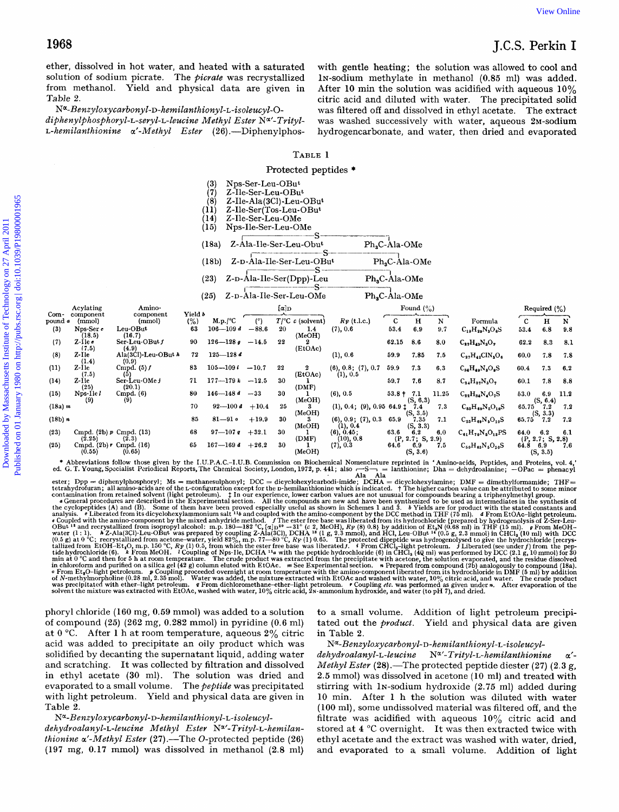ether, dissolved in hot water, and heated with a saturated solution of sodium picrate. The picrate was recrystallized from methanol. Yield and physical data are given in Table 2.

Na-Benzyloxycarbonyl-D-hemilanthionyl-L-isoleucyl-O-

diphenylphosphoryl-L-seryl-L-leucine Methyl Ester N<sup>a</sup>'-Trityl-L-hemilanthionine  $\alpha'$ -Methyl Ester (26).—Diphenylphos-

with gentle heating; the solution was allowed to cool and In-sodium methylate in methanol (0.85 ml) was added. After 10 min the solution was acidified with aqueous  $10\%$ citric acid and diluted with water. The precipitated solid was filtered off and dissolved in ethyl acetate. The extract was washed successively with water, aqueous 2M-sodium hydrogencarbonate, and water, then dried and evaporated

### TABLE 1

#### Protected peptides \*

|                        |                                                 |                                       |                       | $^{(3)}$<br>(7)<br>(8)<br>(11)<br>(14)<br>(15) | Nps-Ser-Leu-OBut<br>$Z$ -Ile-Ser-Leu-OBut<br>Z-Ile-Ser-Leu-OMe<br>Nps-Ile-Ser-Leu-OMe |                       | Z-Ile-Ala(3Cl)-Leu-OBut<br>Z-Ile-Ser(Tos-Leu-OBut |                              |                           |                                     |          |                                  |                     |                              |          |
|------------------------|-------------------------------------------------|---------------------------------------|-----------------------|------------------------------------------------|---------------------------------------------------------------------------------------|-----------------------|---------------------------------------------------|------------------------------|---------------------------|-------------------------------------|----------|----------------------------------|---------------------|------------------------------|----------|
|                        |                                                 |                                       |                       | (18a)                                          |                                                                                       |                       | Z-Ala-Ile-Ser-Leu-Obut                            |                              | Ph <sub>a</sub> C-Ala-OMe |                                     |          |                                  |                     |                              |          |
|                        |                                                 |                                       |                       | (18b)                                          |                                                                                       |                       | Z-D-Ala-Ile-Ser-Leu-OBut                          |                              |                           | Ph <sub>2</sub> C-Ala-OMe           |          |                                  |                     |                              |          |
|                        |                                                 |                                       |                       | (23)                                           |                                                                                       |                       | Z-D-Ala-Ile-Ser(Dpp)-Leu                          |                              | Ph <sub>s</sub> C-Ala-OMe |                                     |          |                                  |                     |                              |          |
|                        |                                                 |                                       |                       | (25)                                           |                                                                                       |                       | Z-D-Ala-Ile-Ser-Leu-OMe                           |                              | Ph,C-Ala-OMe              |                                     |          |                                  |                     |                              |          |
|                        | Acylating                                       | Amino-                                |                       |                                                |                                                                                       | $\alpha$ <sub>D</sub> |                                                   |                              |                           | Found $(\% )$                       |          |                                  |                     | Required $(\%)$              |          |
| Com-<br>pound a<br>(3) | component<br>(mmol)<br>Nps-Ser e                | component<br>(mmol)<br>Leu-OBut       | Yield b<br>(% )<br>63 | M.p./°C<br>$106 - 109d$                        | (°)<br>$-88.6$                                                                        | 20                    | $T$ <sup>o</sup> C c (solvent)<br>1,4             | $R_F$ (t.l.c.)<br>(7), 0.6   | $\mathbf C$<br>53.4       | н<br>6.9                            | N<br>9.7 | Formula<br>$C_{19}H_{29}N_3O_6S$ | $\mathbf c$<br>53.4 | н<br>6.8                     | N<br>9.8 |
| (7)                    | (18.5)<br>$Z$ -Ilee                             | (16,7)<br>Ser-Leu-OBut f              | 90                    | $126 - 128g$                                   | $-14.5$                                                                               | 22                    | (MeOH)<br>2                                       |                              | 62.15                     | 8.6                                 | 8.0      | $C_{22}H_{43}N_3O_7$             | 62.2                | 8.3                          | 8.1      |
| (8)                    | (7.5)<br>Z-Ile<br>(1.4)                         | (4.9)<br>Ala(3Cl)-Leu-OBut h<br>(0.9) | 72                    | $125 - 128$ d                                  |                                                                                       |                       | (EtOAc)                                           | (1), 0.6                     | 59.9                      | 7.85                                | 7.5      | $C_{27}H_{42}CIN_3O_6$           | 60.0                | 7.8                          | 7.8      |
| (11)                   | $Z-I1e$                                         | Cmpd. $(5) f$                         | 83                    | $105 - 109$                                    | $-10.7$                                                                               | 22                    | 2                                                 | (6), 0.8; (7), 0.7           | 59.9                      | 7.3                                 | 6,3      | $C_{34}H_{49}N_3O_9S$            | 60.4                | 7.3                          | 6.2      |
| (14)                   | (7.5)<br>Z-Ile<br>(25)                          | (5)<br>Ser-Leu-OMe J<br>(20.1)        | 71                    | $177 - 179k - 12.5$                            |                                                                                       | 30                    | (EtOAc)<br>L.<br>(DMF)                            | (1), 0.5                     | 59.7                      | 7.6                                 | 8.7      | $C_{34}H_{37}N_3O_7$             | 60.1                | 7.8                          | 8.8      |
| (15)                   | $Nps-1le l$                                     | Cmpd. (6)                             | 80                    | $146 - 148d$                                   | $-33$                                                                                 | 30                    |                                                   | (6), 0.5                     | $53.8 + 7.1$              |                                     | 11.25    | $C_{22}H_{34}N_4O_7S$            | 53.0                | 6.9                          | 11.2     |
| (18a) m                | (9)                                             | (9)                                   | 70                    | $92 - 100d$                                    | $+10.4$                                                                               | $\bf 25$              | (MeOH)                                            | (1), 0.4; (9), 0.9564.9177.4 |                           | (S, 6.3)                            | 7.3      | $C_{53}H_{69}N_5O_{10}S$         | 65.75               | (S, 6.4)<br>7.2              | 7.2      |
| (18b) n                |                                                 |                                       | -85                   | $81 - 910$                                     | $+19.9$                                                                               | 30                    | (MeOH)<br>3.                                      | (6), 0.9; (7), 0.3           | 65.9                      | (S, 3.5)<br>7.35                    | 7.1      | $C_{53}H_{69}N_6O_{10}S$         | 65.75               | (S, 3.3)<br>-7.2             | 7.2      |
| (23)                   | Cmpd. $(2b)$ $p$ Cmpd. $(13)$                   |                                       | 68                    | $97 - 107g$                                    | $+32.1$                                                                               | 30                    | (MeOH)<br>-1                                      | (1), 0.4<br>(6), 0.45;       | 63.6                      | (S, 3.3)<br>- 6.2                   | 6.0      | $C_{61}H_{70}N_5O_{15}PS$        | 64.0                | 6.2                          | 6.1      |
| (25)                   | (2.25)<br>Cmpd. $(2b)$ r Cmpd. $(16)$<br>(0.55) | (2.3)<br>(0.65)                       | 65                    | $167 - 169$ d                                  | $+26.2$                                                                               | 30                    | (DMF)<br>л.<br>(MeOH)                             | (10), 0.8<br>(7), 0.3        | 64.6                      | (P, 2.7; S, 2.9)<br>6.9<br>(S, 3.6) | 7.5      | $C_{50}H_{43}N_5O_{10}S$         | 64.8 6.9            | (P, 2.7; S, 2.8)<br>(S, 3.5) | 7.6      |

Abbreviations follow those given by the LU.P.A.C.-LU.B. Commission on Biochemical Nomenclature reprinted in 'Amino-acids, Peptids, and Protections, we<br>d. G.T. Young, Specialist Periodical Reports, The Chemical Society, Lo

phoryl chloride (160 mg, 0.59 mmol) was added to a solution of compound  $(25)$   $(262 \text{ mg}, 0.282 \text{ mmol})$  in pyridine  $(0.6 \text{ ml})$ at  $0^{\circ}$ C. After 1 h at room temperature, aqueous  $2\%$  citric acid was added to precipitate an oily product which was solidified by decanting the supernatant liquid, adding water and scratching. It was collected by filtration and dissolved in ethyl acetate (30 ml). The solution was dried and evaporated to a small volume. The peptide was precipitated with light petroleum. Yield and physical data are given in Table 2

## Na-Benzyloxycarbonyl-D-hemilanthionyl-L-isoleucyl-

dehydroalanyl-L-leucine Methyl Ester N<sup>a</sup>'-Trityl-L-hemilanthionine  $\alpha'$ -Methyl Ester (27).—The O-protected peptide (26) (197 mg, 0.17 mmol) was dissolved in methanol (2.8 ml) to a small volume. Addition of light petroleum precipitated out the *product*. Yield and physical data are given in Table 2.

### Na-Benzyloxycarbonyl-D-hemilanthionyl-L-isoleucyl-

 $N^{\alpha}$ -Trityl-L-hemilanthionine dehydroalanyl-L-leucine  $\alpha'$ -*Methyl Ester* (28).—The protected peptide diester (27) (2.3 g, 2.5 mmol) was dissolved in acetone (10 ml) and treated with stirring with 1N-sodium hydroxide (2.75 ml) added during 10 min. After 1 h the solution was diluted with water (100 ml), some undissolved material was filtered off, and the filtrate was acidified with aqueous  $10\%$  citric acid and stored at 4 °C overnight. It was then extracted twice with ethyl acetate and the extract was washed with water, dried, and evaporated to a small volume. Addition of light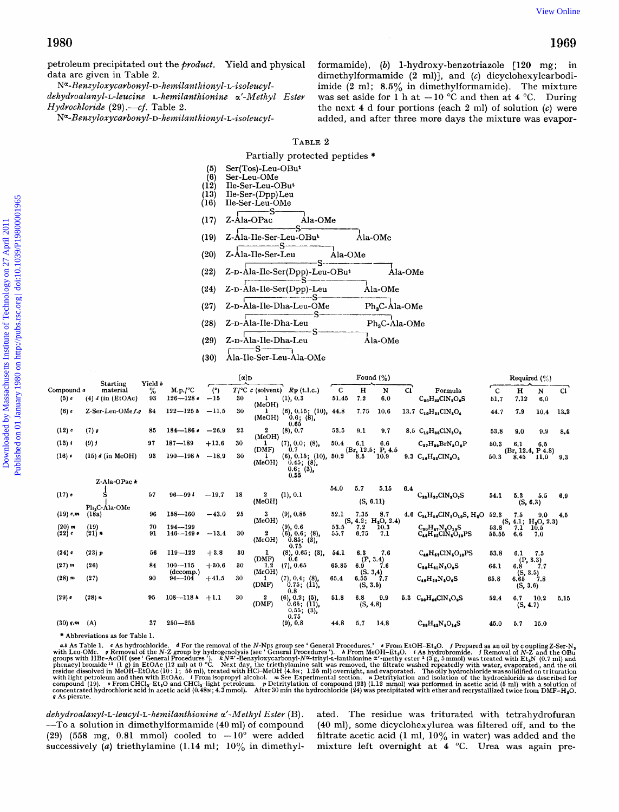#### **TABLE** 2

| 1980                                                                |                                                                                                                                                                                                                                                          |                                                                        |                                                                                                                                                                                                                                                                                                                                                                                 |                                 | 1969                                    |  |  |  |  |  |  |
|---------------------------------------------------------------------|----------------------------------------------------------------------------------------------------------------------------------------------------------------------------------------------------------------------------------------------------------|------------------------------------------------------------------------|---------------------------------------------------------------------------------------------------------------------------------------------------------------------------------------------------------------------------------------------------------------------------------------------------------------------------------------------------------------------------------|---------------------------------|-----------------------------------------|--|--|--|--|--|--|
| data are given in Table 2.<br>Hydrochloride (29).---cf. Table 2.    | petroleum precipitated out the <i>product</i> . Yield and physical<br>N <sup>a</sup> -Benzyloxycarbonyl-D-hemilanthionyl-L-isoleucyl-<br>dehydroalanyl-L-leucine L-hemilanthionine a'-Methyl Ester<br>Na-Benzyloxycarbonyl-D-hemilanthionyl-L-isoleucyl- |                                                                        | formamide), (b) 1-hydroxy-benzotriazole [120 mg;<br>in<br>dimethylformamide (2 ml)], and (c) dicyclohexylcarbodi-<br>imide $(2 \text{ ml}; 8.5\%$ in dimethylformamide). The mixture<br>was set aside for 1 h at $-10$ °C and then at 4 °C. During<br>the next 4 d four portions (each 2 ml) of solution $(c)$ were<br>added, and after three more days the mixture was evapor- |                                 |                                         |  |  |  |  |  |  |
|                                                                     |                                                                                                                                                                                                                                                          | TABLE 2                                                                |                                                                                                                                                                                                                                                                                                                                                                                 |                                 |                                         |  |  |  |  |  |  |
|                                                                     |                                                                                                                                                                                                                                                          | Partially protected peptides *                                         |                                                                                                                                                                                                                                                                                                                                                                                 |                                 |                                         |  |  |  |  |  |  |
|                                                                     | $Ser(Tos)$ -Leu-OBu <sup>t</sup><br>(5)<br>(6)<br>Ser-Leu-OMe<br>(12)<br>Ile-Ser-Leu-OBut<br>(13)<br>Ile-Ser-(Dpp)Leu<br>(16)<br>Ile-Ser-Leu-OMe                                                                                                         |                                                                        |                                                                                                                                                                                                                                                                                                                                                                                 |                                 |                                         |  |  |  |  |  |  |
|                                                                     | -S<br>(17)<br>Z-Ala-OPac                                                                                                                                                                                                                                 | Ala-OMe                                                                |                                                                                                                                                                                                                                                                                                                                                                                 |                                 |                                         |  |  |  |  |  |  |
|                                                                     | Z-Ala-Ile-Ser-Leu-OBut<br>(19)                                                                                                                                                                                                                           |                                                                        | Ala-OMe                                                                                                                                                                                                                                                                                                                                                                         |                                 |                                         |  |  |  |  |  |  |
|                                                                     |                                                                                                                                                                                                                                                          |                                                                        |                                                                                                                                                                                                                                                                                                                                                                                 |                                 |                                         |  |  |  |  |  |  |
|                                                                     | (20)<br>Z-Ala-Ile-Ser-Leu                                                                                                                                                                                                                                | S.                                                                     | Ala-OMe                                                                                                                                                                                                                                                                                                                                                                         |                                 |                                         |  |  |  |  |  |  |
|                                                                     | (22)                                                                                                                                                                                                                                                     | Z-D-Ala-Ile-Ser(Dpp)-Leu-OBut                                          |                                                                                                                                                                                                                                                                                                                                                                                 | Ala-OMe                         |                                         |  |  |  |  |  |  |
|                                                                     | (24)<br>Z-D-Ala-Ile-Ser(Dpp)-Leu                                                                                                                                                                                                                         |                                                                        | Ala-OMe                                                                                                                                                                                                                                                                                                                                                                         |                                 |                                         |  |  |  |  |  |  |
|                                                                     | (27)<br>Z-D-Ala-Ile-Dha-Leu-OMe                                                                                                                                                                                                                          |                                                                        | Ph <sub>3</sub> C-Ala-OMe                                                                                                                                                                                                                                                                                                                                                       |                                 |                                         |  |  |  |  |  |  |
|                                                                     | (28)<br>Z-ɒ-Ala-Ile-Dha-Leu                                                                                                                                                                                                                              |                                                                        | $Ph_3C$ -Ala-OMe                                                                                                                                                                                                                                                                                                                                                                |                                 |                                         |  |  |  |  |  |  |
|                                                                     |                                                                                                                                                                                                                                                          |                                                                        |                                                                                                                                                                                                                                                                                                                                                                                 |                                 |                                         |  |  |  |  |  |  |
|                                                                     | (29)<br>Z-D-Ala-Ile-Dha-Leu<br>S.                                                                                                                                                                                                                        |                                                                        | Ala-OMe                                                                                                                                                                                                                                                                                                                                                                         |                                 |                                         |  |  |  |  |  |  |
|                                                                     | Ala-Ile-Ser-Leu-Ala-OMe<br>(30)                                                                                                                                                                                                                          |                                                                        |                                                                                                                                                                                                                                                                                                                                                                                 |                                 |                                         |  |  |  |  |  |  |
|                                                                     | $[\alpha]_{\textbf{D}}$                                                                                                                                                                                                                                  |                                                                        | Found $(\%)$                                                                                                                                                                                                                                                                                                                                                                    |                                 | Required $(\%)$                         |  |  |  |  |  |  |
| Yield b<br>Starting<br>Compound a<br>material<br>℅<br>93            | M.p./°C<br>(°)<br>$T$ /°C $\epsilon$ (solvent) $R_F$ (t.l.c.)<br>$126 - 128e$<br>$-15$<br>-30<br>1                                                                                                                                                       | $\mathbf c$                                                            | H<br>N<br>7,2                                                                                                                                                                                                                                                                                                                                                                   | C1<br>Formula                   | $\mathbf C$<br>н<br>C1<br>N             |  |  |  |  |  |  |
| $(5)$ c<br>$(4)$ d (in (EtOAc)<br>Z-Ser-Leu-OMef.g<br>$(6)$ c<br>84 | (MeOH)<br>$122 - 125h$<br>$-11.5$<br>30<br>1                                                                                                                                                                                                             | 51.45<br>(1), 0.3<br>$(6)$ , 0.15; $(10)$ ,<br>44.8                    | 6.0<br>10.6<br>7.75                                                                                                                                                                                                                                                                                                                                                             | $C_{20}H_{23}CIN_2O_6S$         | 51.7<br>7.12<br>6,0                     |  |  |  |  |  |  |
|                                                                     | (MeOH)                                                                                                                                                                                                                                                   | 0.6; (8)<br>0.65                                                       |                                                                                                                                                                                                                                                                                                                                                                                 | 13.7 $C_{10}H_{21}CIN_{1}O_{4}$ | 44.7<br>7.9<br>10.4<br>13.2             |  |  |  |  |  |  |
| (12)<br>$(7)$ g<br>85                                               | $\boldsymbol{2}$<br>$184 - 186$<br>$-26.9$<br>23<br>(MeOH)                                                                                                                                                                                               | 53.5<br>(8), 0.7                                                       | 9.1<br>9.7                                                                                                                                                                                                                                                                                                                                                                      | 8.5 $C_{19}H_{86}CIN_3O_5$      | 53.8<br>9,0<br>9,9<br>8,4               |  |  |  |  |  |  |
| $(13)$ i<br>$(9)$ j<br>97                                           | $187 - 189$<br>$+13.6$<br>30<br>(DMF)                                                                                                                                                                                                                    | (7), 0.0, (8),<br>50.4<br>0.7                                          | 6.1<br>6,6<br>(Br, 12.5; P, 4.5                                                                                                                                                                                                                                                                                                                                                 | $C_{27}H_{29}BrN_3O_8P$         | 50.3<br>6.1<br>6,5<br>(Br, 12.4, P 4.8) |  |  |  |  |  |  |
| (16)<br>$(15)$ d (in MeOH)<br>93                                    | $190 - 198h$<br>$-18.9$<br>30<br>(MeOH)                                                                                                                                                                                                                  | $(6)$ , 0.15; $(10)$ , 50.2<br>$0.45;$ $(8)$ ,<br>$0.6; (3)$ ,<br>0.55 | 10.9<br>8,5                                                                                                                                                                                                                                                                                                                                                                     | 9.3 $C_{16}H_{32}CIN_3O_5$      | 50.3<br>8.45<br>11.0<br>9.3             |  |  |  |  |  |  |

|                       | <b>Starting</b>                 | Yield b    | $[\alpha]_{\textbf{D}}$     |              |    | Found $(\%)$         |                                                                                                   |                   |                                         |                   | Required $(\%)$ |                                                                                  |               |                                        |             |      |
|-----------------------|---------------------------------|------------|-----------------------------|--------------|----|----------------------|---------------------------------------------------------------------------------------------------|-------------------|-----------------------------------------|-------------------|-----------------|----------------------------------------------------------------------------------|---------------|----------------------------------------|-------------|------|
| Compound a<br>$(5)$ c | material<br>$(4)$ d (in (EtOAc) | $\%$<br>93 | M.p./°C<br>$126 - 128c$     | (°)<br>$-15$ | 30 | 1                    | $T$ /°C $\epsilon$ (solvent) $R_F$ (t.l.c.)<br>(1), 0.3                                           | <b>C</b><br>51.45 | н<br>7,2                                | N<br>6.0          | C1              | Formula<br>$C_{20}H_{23}CIN_2O_6S$                                               | -C<br>51.7    | н<br>7.12                              | N<br>6.0    | CI.  |
| (6)                   | Z-Ser-Leu-OMef.c                | 84         | $122 - 125h$                | $-11.5$      | 30 | (MeOH)<br>(MeOH)     | $(6)$ , 0.15; $(10)$ , 44.8<br>0.6; (8)<br>0.65                                                   |                   | 7.75                                    | 10,6              |                 | 13.7 $C_{10}H_{21}ClN_2O_4$                                                      | 44.7          | 7.9                                    | 10,4        | 13.2 |
| (12)                  | $(7)$ g                         | 85         | $184 - 186c$                | $-26.9$      | 23 | 2<br>(MeOH)          | (8), 0.7                                                                                          | 53.5              | 9.1                                     | 9.7               |                 | 8.5 $C_{19}H_{88}CIN_3O_5$                                                       | 53.8          | 9.0                                    | 9,9         | 8.4  |
| $(13)$ i              | (9) j                           | 97         | $187 - 189$                 | $+13.6$      | 30 | 1<br>(DMF)           | (7), 0.0; (8),<br>0.7                                                                             | 50.4              | 6.1<br>(Br, 12.5; P, 4.5)               | 6.6               |                 | $C_{27}H_{89}BrN_3O_8P$                                                          | 50.3          | 6.1                                    | 6.5         |      |
| (16)                  | $(15)$ d (in MeOH)              | 93         | $190 - 198h$                | $-18.9$      | 30 | 1<br>(MeOH)          | $(6)$ , 0.15; $(10)$ , 50.2<br>$0.45;$ $(8)$ ,<br>$\begin{array}{c} 0.6 \\ 0.55 \end{array}$ (3), |                   | 8.5                                     | 10.9 <sup>°</sup> |                 | 9.3 $C_{16}H_{32}CIN_2O_5$                                                       | 50.3          | (Br, 12.4, P 4.8)<br>8.45              | 11.0        | 9.3  |
|                       | Z-Ala-OPack                     |            |                             |              |    |                      |                                                                                                   |                   |                                         |                   |                 |                                                                                  |               |                                        |             |      |
| $(17)$ c              |                                 | 57         | $96 - 991$                  | $-19.7$      | 18 | 2<br>(MeOH)          | (1), 0.1                                                                                          | 54.0              | 5.7<br>(S, 6.11)                        | 5.15              | 6.4             | $C_{23}H_{27}CIN_2O_2S$                                                          | 54.1          | 5.3<br>(S, 6.3)                        | 5.5         | 6.9  |
| $(19)$ c,m            | Ph,C-Ala-OMe<br>(18a)           | 96         | $158 - 160$                 | $-43.0$      | 25 | 3<br>(MeOH)          | $(9)$ , 0.85                                                                                      | 52.1              | 7.35<br>(S, 4.2; H <sub>2</sub> O, 2.4) | 8,7               |                 | 4.6 $C_{34}H_{56}CIN_{5}O_{10}S$ , H <sub>2</sub> O                              | 52.3          | 7.5<br>(S, 4.1; H <sub>2</sub> O, 2.3) | 9.0         | 4.5  |
| $(20)$ m<br>$(22)$ c  | (19)<br>$(21)$ n                | 70<br>91   | $194 - 199$<br>$146 - 1490$ | $-13.4$      | 30 | 2<br>(MeOH)          | (9), 0.6<br>(6), 0.6; (8),<br>$0.85;$ $(3)$ ,<br>0.75                                             | 53.5<br>55.7      | 7.2<br>6.75                             | 10.3<br>7.1       |                 | $C_{30}H_{47}N_{5}O_{10}S$<br>$C_{44}H_{45}$ CIN <sub>5</sub> O <sub>13</sub> PS | 53.8<br>55.55 | 7.1<br>6,6                             | 10.5<br>7.0 |      |
| (24)                  | $(23)$ $p$                      | 56         | $119 - 122$                 | $+3.8$       | 30 | 1<br>(DMF)           | $(8)$ , 0.65; $(3)$ ,<br>0.6                                                                      | 54.1              | 6.3                                     | 7.6               |                 | $C_{43}H_{57}CIN_6O_{13}PS$                                                      | 53.8          | 6.1                                    | -7.5        |      |
| $(27)$ m              | (26)                            | 84         | $100 - 115$                 | $+30,6$      | 30 | 1.2                  | (7), 0.65                                                                                         | 65.85             | (P, 3.4)<br>6.9                         | 7.6               |                 | $C_{50}H_{61}N_5O_9S$                                                            | 66.1          | (P, 3.3)<br>6.8                        | 7.7         |      |
| $(28)$ m              | (27)                            | 90         | (decomp.)<br>$94 - 104$     | $+41.5$      | 30 | (MeOH)<br>1<br>(DMF) | $(7), 0.4; (8)$ ,<br>$0.75;$ (11),<br>0.8                                                         | 65.4              | (S. 3, 4)<br>6.55<br>(S, 3.5)           | 7.7               |                 | $C_{40}H_{50}N_6O_9S$                                                            | 65.8          | (S, 3.5)<br>6.65 7.8<br>(S, 3.6)       |             |      |
| (29)                  | (28) n                          | 95         | $108 - 118h$                | $+1.1$       | 30 | 2<br>(DMF)           | $(6)$ , 0.2; $(5)$ ,<br>$0.65;$ (11),<br>0.55; (3)                                                | 51.8              | 6.8<br>(S, 4.8)                         | 9.9               | 5.3             | $C_{30}H_{46}CIN_5O_9S$                                                          | 52.4          | 6.7<br>(S, 4.7)                        | 10.2        | 5.15 |
| $(30)$ q,m            | (A)                             | 37         | $250 - 255$                 |              |    |                      | 0.75<br>$(9)$ , 0.8                                                                               | 44.8              | 5.7                                     | 14.8              |                 | $C_{28}H_{42}N_8O_{14}S$                                                         | 45.0          | 5.7                                    | 15.0        |      |

\* Abbreviations as for Table 1.

FALCO AND INTEGRAL ASSO TO A SET A sharpen over the N-Nps group see 'General Procedures.'  $\epsilon$  From EtOH-Et<sub>4</sub>O. f Prepared as an oil by coupling Z-Ser-N<sub>s</sub> and the CoMe.  $\epsilon$  As hydrocholoride.  $d$  For the removal of the **<sup>P</sup>**As picrate. *u* As hydrochloride. a for the removal of the N-Nps group see "General Procedures." a from let  $\mu$  Removal of the N-Z group by hydrogenolysis (see "General Procedures"). A From MeOH-Et<sub>2</sub>O

dehydroalanyl-L-leucyl-L-hemilanthionine a'-Methyl Ester (B). ated. The residue was triturated with tetrahydrofuran

-To a solution in dimethylformamide **(40** ml) of compound **(40** ml), some dicyclohexylurea was filtered off, and to the  $-$  To a solution in dimethylformamide (40 ml) of compound (40 ml), some dicyclohexylurea was filtered off, and to the (29) (558 mg, 0.81 mmol) cooled to  $-10^{\circ}$  were added filtrate acetic acid (1 ml, 10% in water) was